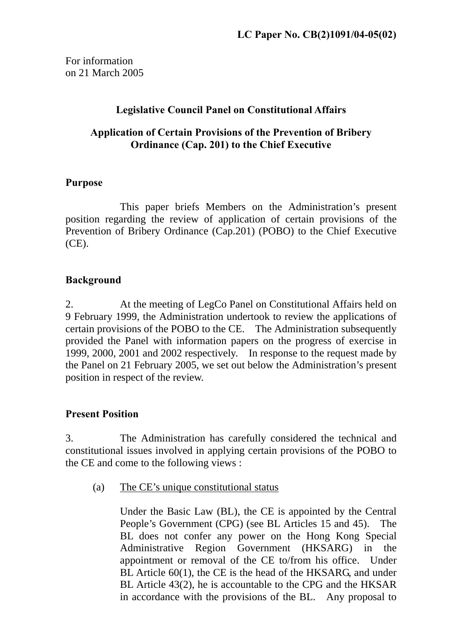For information on 21 March 2005

### **Legislative Council Panel on Constitutional Affairs**

#### **Application of Certain Provisions of the Prevention of Bribery Ordinance (Cap. 201) to the Chief Executive**

#### **Purpose**

 This paper briefs Members on the Administration's present position regarding the review of application of certain provisions of the Prevention of Bribery Ordinance (Cap.201) (POBO) to the Chief Executive (CE).

# **Background**

2. At the meeting of LegCo Panel on Constitutional Affairs held on 9 February 1999, the Administration undertook to review the applications of certain provisions of the POBO to the CE. The Administration subsequently provided the Panel with information papers on the progress of exercise in 1999, 2000, 2001 and 2002 respectively. In response to the request made by the Panel on 21 February 2005, we set out below the Administration's present position in respect of the review.

# **Present Position**

3. The Administration has carefully considered the technical and constitutional issues involved in applying certain provisions of the POBO to the CE and come to the following views :

(a) The CE's unique constitutional status

Under the Basic Law (BL), the CE is appointed by the Central People's Government (CPG) (see BL Articles 15 and 45). The BL does not confer any power on the Hong Kong Special Administrative Region Government (HKSARG) in the appointment or removal of the CE to/from his office. Under BL Article 60(1), the CE is the head of the HKSARG, and under BL Article 43(2), he is accountable to the CPG and the HKSAR in accordance with the provisions of the BL. Any proposal to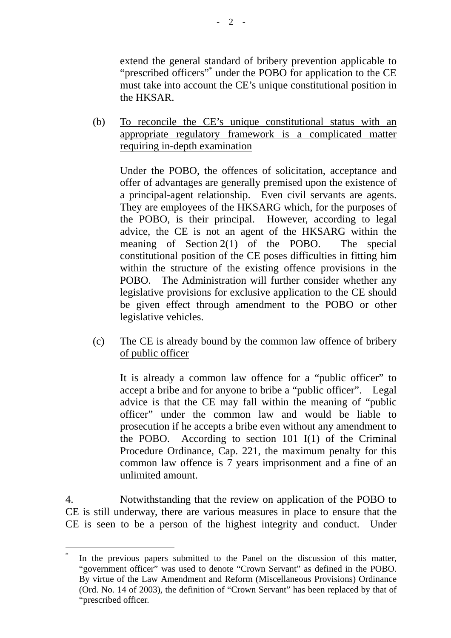extend the general standard of bribery prevention applicable to "prescribed officers"<sup>\*</sup> under the POBO for application to the CE must take into account the CE's unique constitutional position in the HKSAR.

(b) To reconcile the CE's unique constitutional status with an appropriate regulatory framework is a complicated matter requiring in-depth examination

Under the POBO, the offences of solicitation, acceptance and offer of advantages are generally premised upon the existence of a principal-agent relationship. Even civil servants are agents. They are employees of the HKSARG which, for the purposes of the POBO, is their principal. However, according to legal advice, the CE is not an agent of the HKSARG within the meaning of Section 2(1) of the POBO. The special constitutional position of the CE poses difficulties in fitting him within the structure of the existing offence provisions in the POBO. The Administration will further consider whether any legislative provisions for exclusive application to the CE should be given effect through amendment to the POBO or other legislative vehicles.

(c) The CE is already bound by the common law offence of bribery of public officer

It is already a common law offence for a "public officer" to accept a bribe and for anyone to bribe a "public officer". Legal advice is that the CE may fall within the meaning of "public officer" under the common law and would be liable to prosecution if he accepts a bribe even without any amendment to the POBO. According to section 101 I(1) of the Criminal Procedure Ordinance, Cap. 221, the maximum penalty for this common law offence is 7 years imprisonment and a fine of an unlimited amount.

4. Notwithstanding that the review on application of the POBO to CE is still underway, there are various measures in place to ensure that the CE is seen to be a person of the highest integrity and conduct. Under

 $\overline{a}$ 

<span id="page-1-0"></span><sup>\*</sup> In the previous papers submitted to the Panel on the discussion of this matter, "government officer" was used to denote "Crown Servant" as defined in the POBO. By virtue of the Law Amendment and Reform (Miscellaneous Provisions) Ordinance (Ord. No. 14 of 2003), the definition of "Crown Servant" has been replaced by that of "prescribed officer.